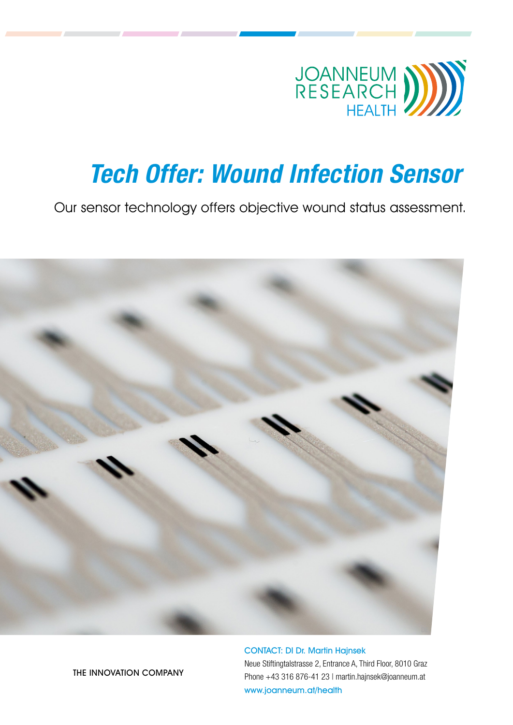

# Tech Offer: Wound Infection Sensor

Our sensor technology offers objective wound status assessment.



CONTACT: DI Dr. Martin Hajnsek [Neue Stiftingtalstrasse 2, Entrance A, Third Floor, 8010 Graz](http://www.joanneum.at/health) Phone +43 316 876-41 23 | [martin.hajnsek@joanneum.at](mailto:martin.hajnsek%40joanneum.at?subject=) [www.joanneum.at/health](https://www.joanneum.at/en/health)

THE INNOVATION COMPANY